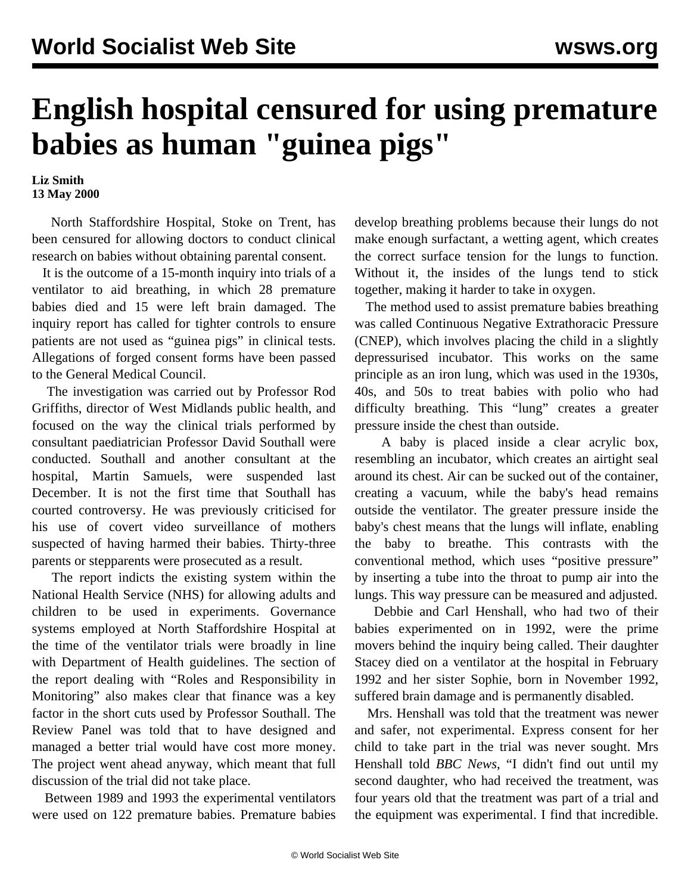## **English hospital censured for using premature babies as human "guinea pigs"**

**Liz Smith 13 May 2000**

 North Staffordshire Hospital, Stoke on Trent, has been censured for allowing doctors to conduct clinical research on babies without obtaining parental consent.

 It is the outcome of a 15-month inquiry into trials of a ventilator to aid breathing, in which 28 premature babies died and 15 were left brain damaged. The inquiry report has called for tighter controls to ensure patients are not used as "guinea pigs" in clinical tests. Allegations of forged consent forms have been passed to the General Medical Council.

 The investigation was carried out by Professor Rod Griffiths, director of West Midlands public health, and focused on the way the clinical trials performed by consultant paediatrician Professor David Southall were conducted. Southall and another consultant at the hospital, Martin Samuels, were suspended last December. It is not the first time that Southall has courted controversy. He was previously criticised for his use of covert video surveillance of mothers suspected of having harmed their babies. Thirty-three parents or stepparents were prosecuted as a result.

 The report indicts the existing system within the National Health Service (NHS) for allowing adults and children to be used in experiments. Governance systems employed at North Staffordshire Hospital at the time of the ventilator trials were broadly in line with Department of Health guidelines. The section of the report dealing with "Roles and Responsibility in Monitoring" also makes clear that finance was a key factor in the short cuts used by Professor Southall. The Review Panel was told that to have designed and managed a better trial would have cost more money. The project went ahead anyway, which meant that full discussion of the trial did not take place.

 Between 1989 and 1993 the experimental ventilators were used on 122 premature babies. Premature babies develop breathing problems because their lungs do not make enough surfactant, a wetting agent, which creates the correct surface tension for the lungs to function. Without it, the insides of the lungs tend to stick together, making it harder to take in oxygen.

 The method used to assist premature babies breathing was called Continuous Negative Extrathoracic Pressure (CNEP), which involves placing the child in a slightly depressurised incubator. This works on the same principle as an iron lung, which was used in the 1930s, 40s, and 50s to treat babies with polio who had difficulty breathing. This "lung" creates a greater pressure inside the chest than outside.

 A baby is placed inside a clear acrylic box, resembling an incubator, which creates an airtight seal around its chest. Air can be sucked out of the container, creating a vacuum, while the baby's head remains outside the ventilator. The greater pressure inside the baby's chest means that the lungs will inflate, enabling the baby to breathe. This contrasts with the conventional method, which uses "positive pressure" by inserting a tube into the throat to pump air into the lungs. This way pressure can be measured and adjusted.

 Debbie and Carl Henshall, who had two of their babies experimented on in 1992, were the prime movers behind the inquiry being called. Their daughter Stacey died on a ventilator at the hospital in February 1992 and her sister Sophie, born in November 1992, suffered brain damage and is permanently disabled.

 Mrs. Henshall was told that the treatment was newer and safer, not experimental. Express consent for her child to take part in the trial was never sought. Mrs Henshall told *BBC News*, "I didn't find out until my second daughter, who had received the treatment, was four years old that the treatment was part of a trial and the equipment was experimental. I find that incredible.